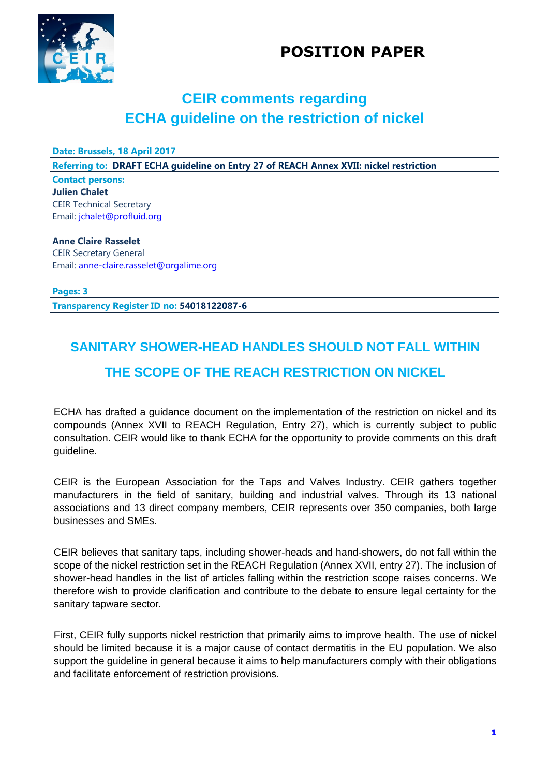## **POSITION PAPER**



## **CEIR comments regarding ECHA guideline on the restriction of nickel**

**Date: Brussels, 18 April 2017**

**Referring to: DRAFT ECHA guideline on Entry 27 of REACH Annex XVII: nickel restriction**

#### **Contact persons: Julien Chalet** CEIR Technical Secretary Email: [jchalet@profluid.org](mailto:jchalet@profluid.org)

**Anne Claire Rasselet** CEIR Secretary General Email: anne-claire.rasselet@orgalime.org

**Pages: 3**

**Transparency Register ID no: 54018122087-6**

# **SANITARY SHOWER-HEAD HANDLES SHOULD NOT FALL WITHIN THE SCOPE OF THE REACH RESTRICTION ON NICKEL**

ECHA has drafted a guidance document on the implementation of the restriction on nickel and its compounds (Annex XVII to REACH Regulation, Entry 27), which is currently subject to public consultation. CEIR would like to thank ECHA for the opportunity to provide comments on this draft guideline.

CEIR is the European Association for the Taps and Valves Industry. CEIR gathers together manufacturers in the field of sanitary, building and industrial valves. Through its 13 national associations and 13 direct company members, CEIR represents over 350 companies, both large businesses and SMEs.

CEIR believes that sanitary taps, including shower-heads and hand-showers, do not fall within the scope of the nickel restriction set in the REACH Regulation (Annex XVII, entry 27). The inclusion of shower-head handles in the list of articles falling within the restriction scope raises concerns. We therefore wish to provide clarification and contribute to the debate to ensure legal certainty for the sanitary tapware sector.

First, CEIR fully supports nickel restriction that primarily aims to improve health. The use of nickel should be limited because it is a major cause of contact dermatitis in the EU population. We also support the guideline in general because it aims to help manufacturers comply with their obligations and facilitate enforcement of restriction provisions.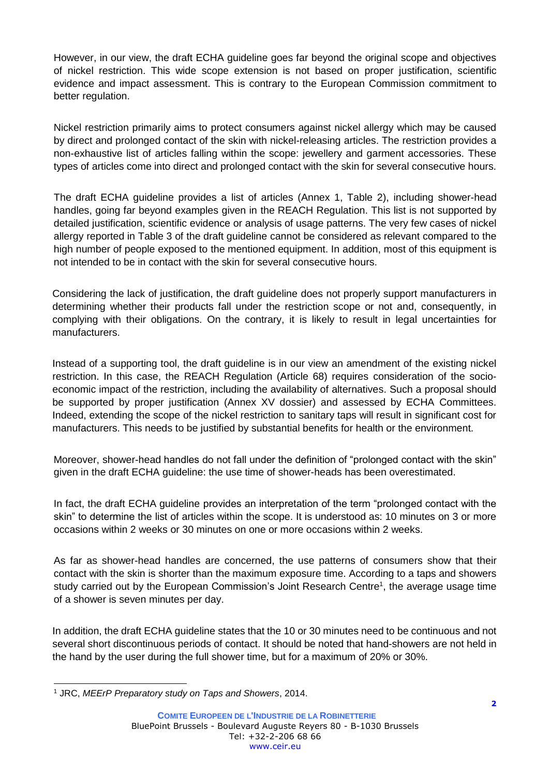However, in our view, the draft ECHA guideline goes far beyond the original scope and objectives of nickel restriction. This wide scope extension is not based on proper justification, scientific evidence and impact assessment. This is contrary to the European Commission commitment to better regulation.

Nickel restriction primarily aims to protect consumers against nickel allergy which may be caused by direct and prolonged contact of the skin with nickel-releasing articles. The restriction provides a non-exhaustive list of articles falling within the scope: jewellery and garment accessories. These types of articles come into direct and prolonged contact with the skin for several consecutive hours.

The draft ECHA guideline provides a list of articles (Annex 1, Table 2), including shower-head handles, going far beyond examples given in the REACH Regulation. This list is not supported by detailed justification, scientific evidence or analysis of usage patterns. The very few cases of nickel allergy reported in Table 3 of the draft guideline cannot be considered as relevant compared to the high number of people exposed to the mentioned equipment. In addition, most of this equipment is not intended to be in contact with the skin for several consecutive hours.

Considering the lack of justification, the draft guideline does not properly support manufacturers in determining whether their products fall under the restriction scope or not and, consequently, in complying with their obligations. On the contrary, it is likely to result in legal uncertainties for manufacturers.

Instead of a supporting tool, the draft guideline is in our view an amendment of the existing nickel restriction. In this case, the REACH Regulation (Article 68) requires consideration of the socioeconomic impact of the restriction, including the availability of alternatives. Such a proposal should be supported by proper justification (Annex XV dossier) and assessed by ECHA Committees. Indeed, extending the scope of the nickel restriction to sanitary taps will result in significant cost for manufacturers. This needs to be justified by substantial benefits for health or the environment.

Moreover, shower-head handles do not fall under the definition of "prolonged contact with the skin" given in the draft ECHA guideline: the use time of shower-heads has been overestimated.

In fact, the draft ECHA guideline provides an interpretation of the term "prolonged contact with the skin" to determine the list of articles within the scope. It is understood as: 10 minutes on 3 or more occasions within 2 weeks or 30 minutes on one or more occasions within 2 weeks.

As far as shower-head handles are concerned, the use patterns of consumers show that their contact with the skin is shorter than the maximum exposure time. According to a taps and showers study carried out by the European Commission's Joint Research Centre<sup>1</sup>, the average usage time of a shower is seven minutes per day.

In addition, the draft ECHA guideline states that the 10 or 30 minutes need to be continuous and not several short discontinuous periods of contact. It should be noted that hand-showers are not held in the hand by the user during the full shower time, but for a maximum of 20% or 30%.

l <sup>1</sup> JRC, *MEErP Preparatory study on Taps and Showers*, 2014.